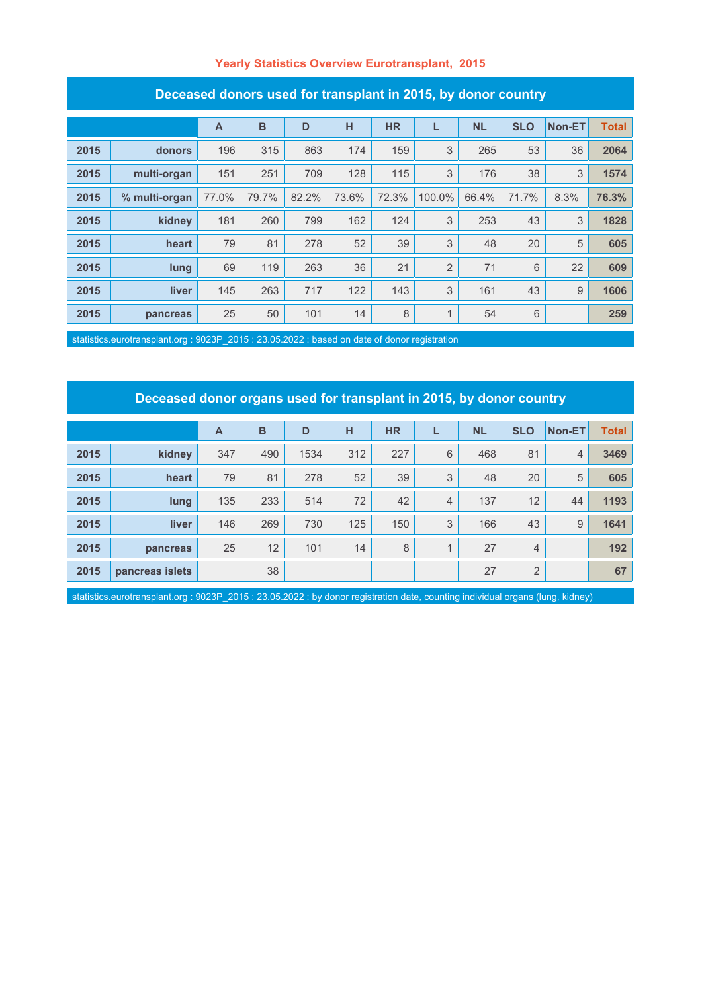#### **Yearly Statistics Overview Eurotransplant, 2015**

| Deceased donors ased for transplant in Z010, by donor country |               |                |       |       |       |           |                |           |            |        |              |
|---------------------------------------------------------------|---------------|----------------|-------|-------|-------|-----------|----------------|-----------|------------|--------|--------------|
|                                                               |               | $\overline{A}$ | B     | D     | н     | <b>HR</b> | L              | <b>NL</b> | <b>SLO</b> | Non-ET | <b>Total</b> |
| 2015                                                          | donors        | 196            | 315   | 863   | 174   | 159       | 3              | 265       | 53         | 36     | 2064         |
| 2015                                                          | multi-organ   | 151            | 251   | 709   | 128   | 115       | 3              | 176       | 38         | 3      | 1574         |
| 2015                                                          | % multi-organ | 77.0%          | 79.7% | 82.2% | 73.6% | 72.3%     | 100.0%         | 66.4%     | 71.7%      | 8.3%   | 76.3%        |
| 2015                                                          | kidney        | 181            | 260   | 799   | 162   | 124       | 3              | 253       | 43         | 3      | 1828         |
| 2015                                                          | heart         | 79             | 81    | 278   | 52    | 39        | 3              | 48        | 20         | 5      | 605          |
| 2015                                                          | lung          | 69             | 119   | 263   | 36    | 21        | $\overline{2}$ | 71        | 6          | 22     | 609          |
| 2015                                                          | liver         | 145            | 263   | 717   | 122   | 143       | 3              | 161       | 43         | 9      | 1606         |
| 2015                                                          | pancreas      | 25             | 50    | 101   | 14    | 8         | 1              | 54        | 6          |        | 259          |

#### **Deceased donors used for transplant in 2015, by donor country**

statistics.eurotransplant.org : 9023P\_2015 : 23.05.2022 : based on date of donor registration

## **Deceased donor organs used for transplant in 2015, by donor country**

|      |                 | A   | B   | D    | н   | <b>HR</b> |                | <b>NL</b> | <b>SLO</b>     | Non-ET         | <b>Total</b> |
|------|-----------------|-----|-----|------|-----|-----------|----------------|-----------|----------------|----------------|--------------|
| 2015 | kidney          | 347 | 490 | 1534 | 312 | 227       | 6              | 468       | 81             | $\overline{4}$ | 3469         |
| 2015 | heart           | 79  | 81  | 278  | 52  | 39        | 3              | 48        | 20             | 5              | 605          |
| 2015 | lung            | 135 | 233 | 514  | 72  | 42        | $\overline{4}$ | 137       | 12             | 44             | 1193         |
| 2015 | <b>liver</b>    | 146 | 269 | 730  | 125 | 150       | 3              | 166       | 43             | 9              | 1641         |
| 2015 | pancreas        | 25  | 12  | 101  | 14  | 8         | $\overline{A}$ | 27        | $\overline{4}$ |                | 192          |
| 2015 | pancreas islets |     | 38  |      |     |           |                | 27        | 2              |                | 67           |

statistics.eurotransplant.org : 9023P\_2015 : 23.05.2022 : by donor registration date, counting individual organs (lung, kidney)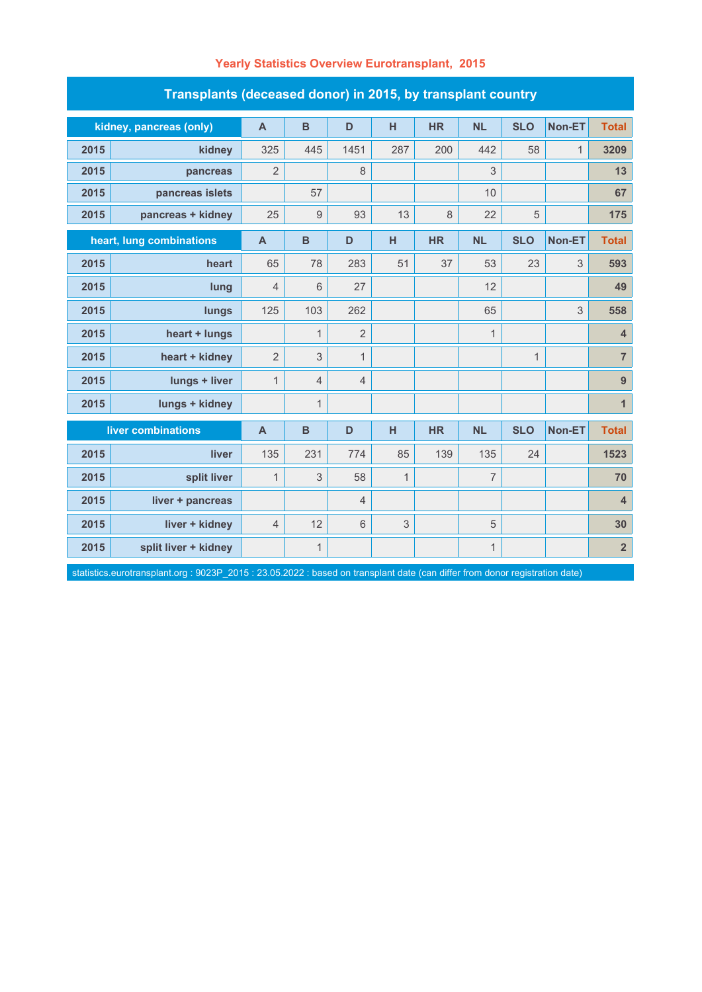| Transplants (deceased donor) in 2015, by transplant country |                         |                |                  |                |              |           |                |              |               |                         |  |
|-------------------------------------------------------------|-------------------------|----------------|------------------|----------------|--------------|-----------|----------------|--------------|---------------|-------------------------|--|
|                                                             | kidney, pancreas (only) | $\mathsf{A}$   | $\mathbf B$      | D              | H            | <b>HR</b> | <b>NL</b>      | <b>SLO</b>   | Non-ET        | <b>Total</b>            |  |
| 2015                                                        | kidney                  | 325            | 445              | 1451           | 287          | 200       | 442            | 58           | $\mathbf{1}$  | 3209                    |  |
| 2015                                                        | pancreas                | $\overline{2}$ |                  | 8              |              |           | $\sqrt{3}$     |              |               | 13                      |  |
| 2015                                                        | pancreas islets         |                | 57               |                |              |           | 10             |              |               | 67                      |  |
| 2015                                                        | pancreas + kidney       | 25             | $\boldsymbol{9}$ | 93             | 13           | 8         | 22             | 5            |               | 175                     |  |
| heart, lung combinations                                    |                         | $\overline{A}$ | B                | D              | H            | <b>HR</b> | <b>NL</b>      | <b>SLO</b>   | <b>Non-ET</b> | <b>Total</b>            |  |
| 2015                                                        | heart                   | 65             | 78               | 283            | 51           | 37        | 53             | 23           | 3             | 593                     |  |
| 2015                                                        | lung                    | $\overline{4}$ | 6                | 27             |              |           | 12             |              |               | 49                      |  |
| 2015                                                        | lungs                   | 125            | 103              | 262            |              |           | 65             |              | 3             | 558                     |  |
| 2015                                                        | heart + lungs           |                | $\mathbf{1}$     | $\overline{2}$ |              |           | $\mathbf{1}$   |              |               | $\overline{\mathbf{4}}$ |  |
| 2015                                                        | heart + kidney          | $\overline{2}$ | 3                | $\mathbf{1}$   |              |           |                | $\mathbf{1}$ |               | $\overline{\mathbf{7}}$ |  |
| 2015                                                        | lungs + liver           | $\mathbf{1}$   | $\overline{4}$   | 4              |              |           |                |              |               | $\overline{9}$          |  |
| 2015                                                        | lungs + kidney          |                | $\mathbf{1}$     |                |              |           |                |              |               | $\mathbf{1}$            |  |
| liver combinations                                          |                         | $\mathbf{A}$   | B                | D              | H            | <b>HR</b> | <b>NL</b>      | <b>SLO</b>   | Non-ET        | <b>Total</b>            |  |
| 2015                                                        | liver                   | 135            | 231              | 774            | 85           | 139       | 135            | 24           |               | 1523                    |  |
| 2015                                                        | split liver             | $\mathbf{1}$   | 3                | 58             | $\mathbf{1}$ |           | $\overline{7}$ |              |               | 70                      |  |
| 2015                                                        | liver + pancreas        |                |                  | 4              |              |           |                |              |               | $\overline{\mathbf{4}}$ |  |
| 2015                                                        | liver + kidney          | $\overline{4}$ | 12               | 6              | 3            |           | 5              |              |               | 30                      |  |
| 2015                                                        | split liver + kidney    |                | $\mathbf{1}$     |                |              |           | $\mathbf{1}$   |              |               | $\overline{2}$          |  |

## **Yearly Statistics Overview Eurotransplant, 2015**

statistics.eurotransplant.org : 9023P\_2015 : 23.05.2022 : based on transplant date (can differ from donor registration date)